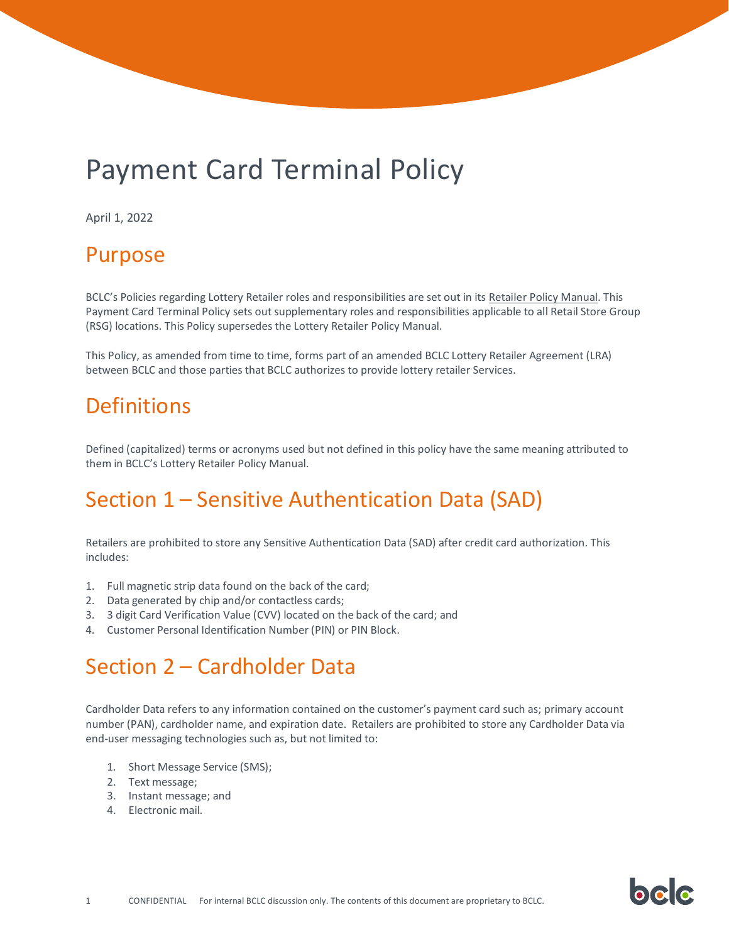# Payment Card Terminal Policy

April 1, 2022

#### Purpose

BCLC's Policies regarding Lottery Retailer roles and responsibilities are set out in its [Retailer Policy Manual.](https://www.bclcretailerhub.com/policies/retailer-policy-manual.html) This Payment Card Terminal Policy sets out supplementary roles and responsibilities applicable to all Retail Store Group (RSG) locations. This Policy supersedes the Lottery Retailer Policy Manual.

This Policy, as amended from time to time, forms part of an amended BCLC Lottery Retailer Agreement (LRA) between BCLC and those parties that BCLC authorizes to provide lottery retailer Services.

#### **Definitions**

Defined (capitalized) terms or acronyms used but not defined in this policy have the same meaning attributed to them in BCLC's Lottery Retailer Policy Manual.

### Section 1 – Sensitive Authentication Data (SAD)

Retailers are prohibited to store any Sensitive Authentication Data (SAD) after credit card authorization. This includes:

- 1. Full magnetic strip data found on the back of the card;
- 2. Data generated by chip and/or contactless cards;
- 3. 3 digit Card Verification Value (CVV) located on the back of the card; and
- 4. Customer Personal Identification Number (PIN) or PIN Block.

### Section 2 – Cardholder Data

Cardholder Data refers to any information contained on the customer's payment card such as; primary account number (PAN), cardholder name, and expiration date. Retailers are prohibited to store any Cardholder Data via end-user messaging technologies such as, but not limited to:

bala

- 1. Short Message Service (SMS);
- 2. Text message;
- 3. Instant message; and
- 4. Electronic mail.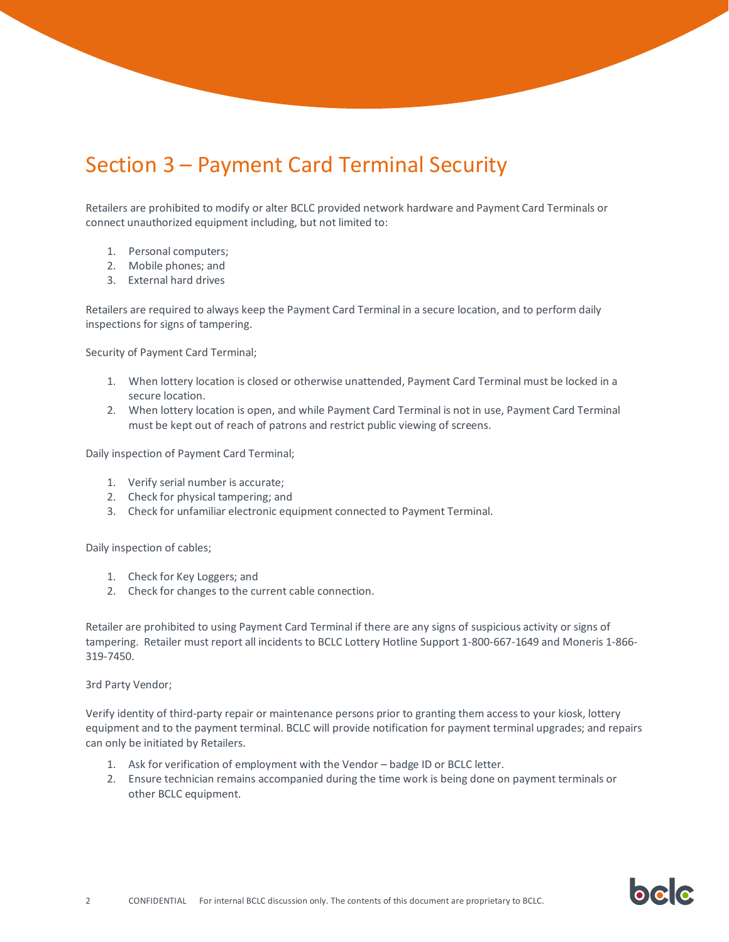## Section 3 – Payment Card Terminal Security

Retailers are prohibited to modify or alter BCLC provided network hardware and Payment Card Terminals or connect unauthorized equipment including, but not limited to:

- 1. Personal computers;
- 2. Mobile phones; and
- 3. External hard drives

Retailers are required to always keep the Payment Card Terminal in a secure location, and to perform daily inspections for signs of tampering.

Security of Payment Card Terminal;

- 1. When lottery location is closed or otherwise unattended, Payment Card Terminal must be locked in a secure location.
- 2. When lottery location is open, and while Payment Card Terminal is not in use, Payment Card Terminal must be kept out of reach of patrons and restrict public viewing of screens.

Daily inspection of Payment Card Terminal;

- 1. Verify serial number is accurate;
- 2. Check for physical tampering; and
- 3. Check for unfamiliar electronic equipment connected to Payment Terminal.

Daily inspection of cables;

- 1. Check for Key Loggers; and
- 2. Check for changes to the current cable connection.

Retailer are prohibited to using Payment Card Terminal if there are any signs of suspicious activity or signs of tampering. Retailer must report all incidents to BCLC Lottery Hotline Support 1-800-667-1649 and Moneris 1-866- 319-7450.

3rd Party Vendor;

Verify identity of third-party repair or maintenance persons prior to granting them access to your kiosk, lottery equipment and to the payment terminal. BCLC will provide notification for payment terminal upgrades; and repairs can only be initiated by Retailers.

- 1. Ask for verification of employment with the Vendor badge ID or BCLC letter.
- 2. Ensure technician remains accompanied during the time work is being done on payment terminals or other BCLC equipment.